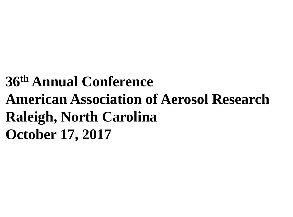# **36th Annual Conference American Association of Aerosol Research Raleigh, North Carolina October 17, 2017**